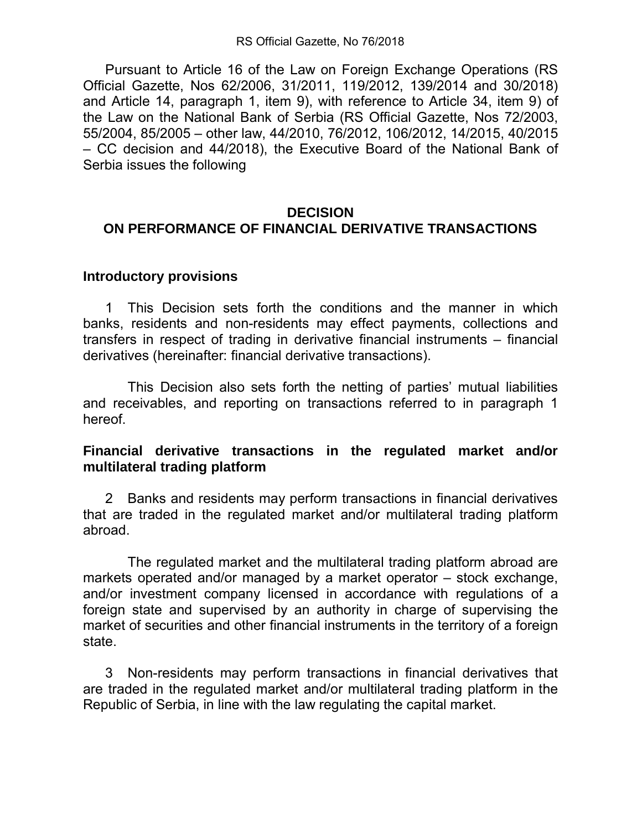Pursuant to Article 16 of the Law on Foreign Exchange Operations (RS Official Gazette, Nos 62/2006, 31/2011, 119/2012, 139/2014 and 30/2018) and Article 14, paragraph 1, item 9), with reference to Article 34, item 9) of the Law on the National Bank of Serbia (RS Official Gazette, Nos 72/2003, 55/2004, 85/2005 – other law, 44/2010, 76/2012, 106/2012, 14/2015, 40/2015 – CC decision and 44/2018), the Executive Board of the National Bank of Serbia issues the following

## **DECISION**

# **ON PERFORMANCE OF FINANCIAL DERIVATIVE TRANSACTIONS**

### **Introductory provisions**

1 This Decision sets forth the conditions and the manner in which banks, residents and non-residents may effect payments, collections and transfers in respect of trading in derivative financial instruments – financial derivatives (hereinafter: financial derivative transactions).

 This Decision also sets forth the netting of parties' mutual liabilities and receivables, and reporting on transactions referred to in paragraph 1 hereof.

## **Financial derivative transactions in the regulated market and/or multilateral trading platform**

2 Banks and residents may perform transactions in financial derivatives that are traded in the regulated market and/or multilateral trading platform abroad.

 The regulated market and the multilateral trading platform abroad are markets operated and/or managed by a market operator – stock exchange, and/or investment company licensed in accordance with regulations of a foreign state and supervised by an authority in charge of supervising the market of securities and other financial instruments in the territory of a foreign state.

3 Non-residents may perform transactions in financial derivatives that are traded in the regulated market and/or multilateral trading platform in the Republic of Serbia, in line with the law regulating the capital market.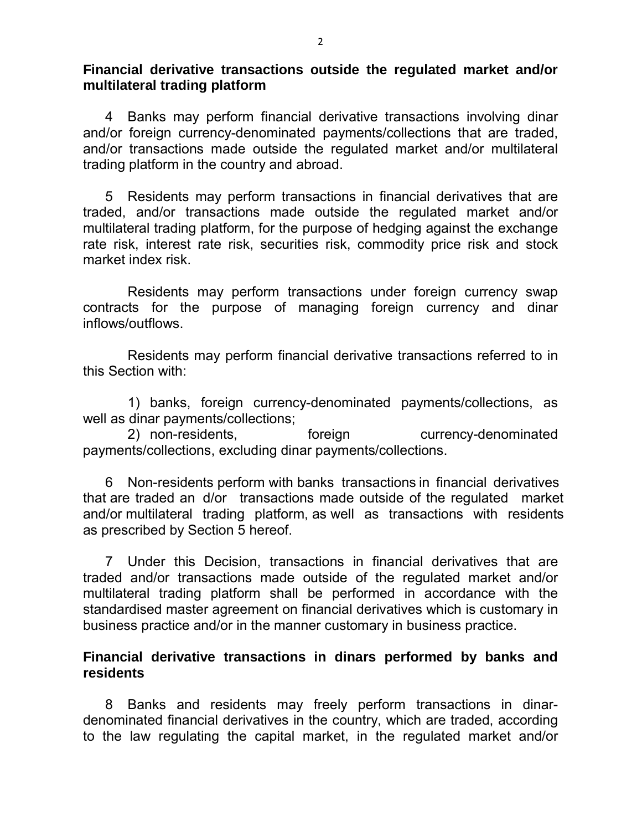**Financial derivative transactions outside the regulated market and/or multilateral trading platform**

4 Banks may perform financial derivative transactions involving dinar and/or foreign currency-denominated payments/collections that are traded, and/or transactions made outside the regulated market and/or multilateral trading platform in the country and abroad.

5 Residents may perform transactions in financial derivatives that are traded, and/or transactions made outside the regulated market and/or multilateral trading platform, for the purpose of hedging against the exchange rate risk, interest rate risk, securities risk, commodity price risk and stock market index risk.

 Residents may perform transactions under foreign currency swap contracts for the purpose of managing foreign currency and dinar inflows/outflows.

 Residents may perform financial derivative transactions referred to in this Section with:

 1) banks, foreign currency-denominated payments/collections, as well as dinar payments/collections;

2) non-residents, extending foreign currency-denominated payments/collections, excluding dinar payments/collections.

6 Non-residents perform with banks transactions in financial derivatives that are traded an d/or transactions made outside of the regulated market and/or multilateral trading platform, as well as transactions with residents as prescribed by Section 5 hereof.

7 Under this Decision, transactions in financial derivatives that are traded and/or transactions made outside of the regulated market and/or multilateral trading platform shall be performed in accordance with the standardised master agreement on financial derivatives which is customary in business practice and/or in the manner customary in business practice.

#### **Financial derivative transactions in dinars performed by banks and residents**

8 Banks and residents may freely perform transactions in dinardenominated financial derivatives in the country, which are traded, according to the law regulating the capital market, in the regulated market and/or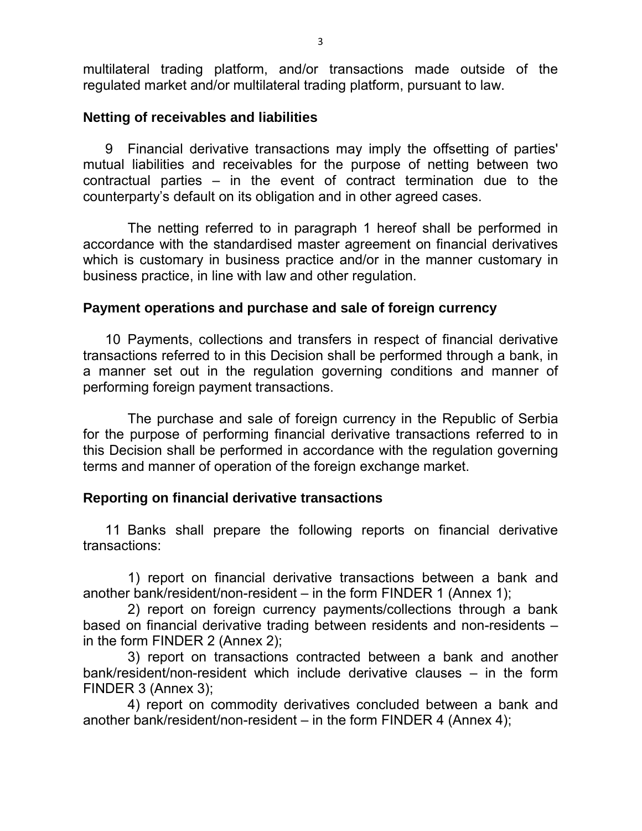multilateral trading platform, and/or transactions made outside of the regulated market and/or multilateral trading platform, pursuant to law.

#### **Netting of receivables and liabilities**

9 Financial derivative transactions may imply the offsetting of parties' mutual liabilities and receivables for the purpose of netting between two contractual parties – in the event of contract termination due to the counterparty's default on its obligation and in other agreed cases.

 The netting referred to in paragraph 1 hereof shall be performed in accordance with the standardised master agreement on financial derivatives which is customary in business practice and/or in the manner customary in business practice, in line with law and other regulation.

## **Payment operations and purchase and sale of foreign currency**

10 Payments, collections and transfers in respect of financial derivative transactions referred to in this Decision shall be performed through a bank, in a manner set out in the regulation governing conditions and manner of performing foreign payment transactions.

 The purchase and sale of foreign currency in the Republic of Serbia for the purpose of performing financial derivative transactions referred to in this Decision shall be performed in accordance with the regulation governing terms and manner of operation of the foreign exchange market.

## **Reporting on financial derivative transactions**

11 Banks shall prepare the following reports on financial derivative transactions:

 1) report on financial derivative transactions between a bank and another bank/resident/non-resident – in the form FINDER 1 (Annex 1);

 2) report on foreign currency payments/collections through a bank based on financial derivative trading between residents and non-residents – in the form FINDER 2 (Annex 2);

 3) report on transactions contracted between a bank and another bank/resident/non-resident which include derivative clauses – in the form FINDER 3 (Annex 3);

 4) report on commodity derivatives concluded between a bank and another bank/resident/non-resident – in the form FINDER 4 (Annex 4);